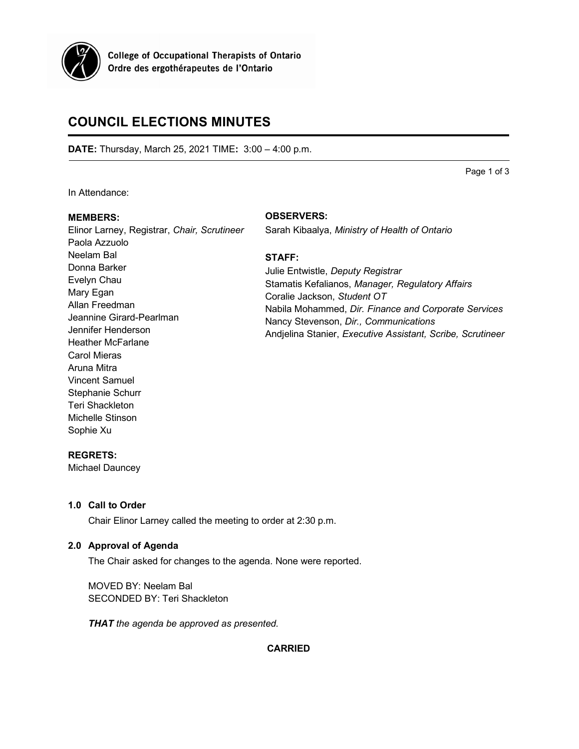

**College of Occupational Therapists of Ontario** Ordre des ergothérapeutes de l'Ontario

# **COUNCIL ELECTIONS MINUTES**

**DATE:** Thursday, March 25, 2021 TIME**:** 3:00 – 4:00 p.m.

Page 1 of 3

In Attendance:

# **MEMBERS:**

Elinor Larney, Registrar, *Chair, Scrutineer* Paola Azzuolo Neelam Bal Donna Barker Evelyn Chau Mary Egan Allan Freedman Jeannine Girard-Pearlman Jennifer Henderson Heather McFarlane Carol Mieras Aruna Mitra Vincent Samuel Stephanie Schurr Teri Shackleton Michelle Stinson Sophie Xu

# **OBSERVERS:**

Sarah Kibaalya, *Ministry of Health of Ontario*

# **STAFF:**

Julie Entwistle, *Deputy Registrar* Stamatis Kefalianos, *Manager, Regulatory Affairs* Coralie Jackson, *Student OT* Nabila Mohammed, *Dir. Finance and Corporate Services* Nancy Stevenson, *Dir., Communications* Andjelina Stanier, *Executive Assistant, Scribe, Scrutineer*

# **REGRETS:**

Michael Dauncey

# **1.0 Call to Order**

Chair Elinor Larney called the meeting to order at 2:30 p.m.

# **2.0 Approval of Agenda**

The Chair asked for changes to the agenda. None were reported.

MOVED BY: Neelam Bal SECONDED BY: Teri Shackleton

*THAT the agenda be approved as presented.*

# **CARRIED**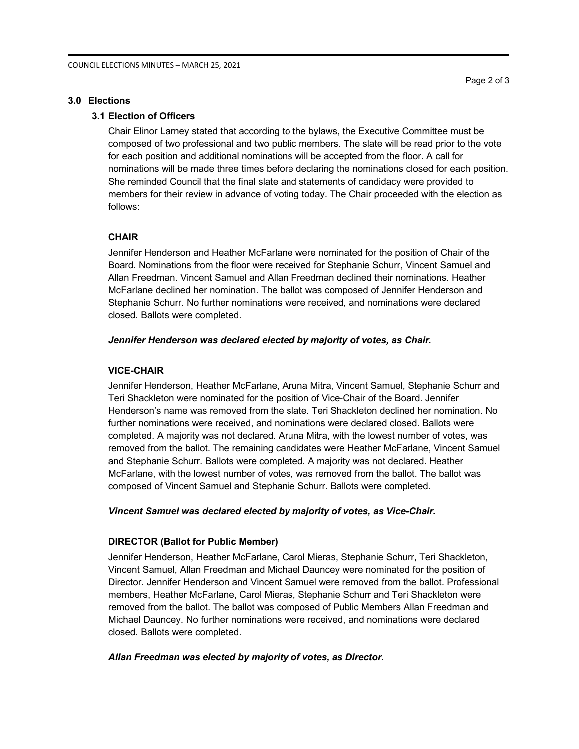## **3.0 Elections**

# **3.1 Election of Officers**

Chair Elinor Larney stated that according to the bylaws, the Executive Committee must be composed of two professional and two public members. The slate will be read prior to the vote for each position and additional nominations will be accepted from the floor. A call for nominations will be made three times before declaring the nominations closed for each position. She reminded Council that the final slate and statements of candidacy were provided to members for their review in advance of voting today. The Chair proceeded with the election as follows:

## **CHAIR**

Jennifer Henderson and Heather McFarlane were nominated for the position of Chair of the Board. Nominations from the floor were received for Stephanie Schurr, Vincent Samuel and Allan Freedman. Vincent Samuel and Allan Freedman declined their nominations. Heather McFarlane declined her nomination. The ballot was composed of Jennifer Henderson and Stephanie Schurr. No further nominations were received, and nominations were declared closed. Ballots were completed.

## *Jennifer Henderson was declared elected by majority of votes, as Chair.*

## **VICE-CHAIR**

Jennifer Henderson, Heather McFarlane, Aruna Mitra, Vincent Samuel, Stephanie Schurr and Teri Shackleton were nominated for the position of Vice-Chair of the Board. Jennifer Henderson's name was removed from the slate. Teri Shackleton declined her nomination. No further nominations were received, and nominations were declared closed. Ballots were completed. A majority was not declared. Aruna Mitra, with the lowest number of votes, was removed from the ballot. The remaining candidates were Heather McFarlane, Vincent Samuel and Stephanie Schurr. Ballots were completed. A majority was not declared. Heather McFarlane, with the lowest number of votes, was removed from the ballot. The ballot was composed of Vincent Samuel and Stephanie Schurr. Ballots were completed.

#### *Vincent Samuel was declared elected by majority of votes, as Vice-Chair.*

## **DIRECTOR (Ballot for Public Member)**

Jennifer Henderson, Heather McFarlane, Carol Mieras, Stephanie Schurr, Teri Shackleton, Vincent Samuel, Allan Freedman and Michael Dauncey were nominated for the position of Director. Jennifer Henderson and Vincent Samuel were removed from the ballot. Professional members, Heather McFarlane, Carol Mieras, Stephanie Schurr and Teri Shackleton were removed from the ballot. The ballot was composed of Public Members Allan Freedman and Michael Dauncey. No further nominations were received, and nominations were declared closed. Ballots were completed.

## *Allan Freedman was elected by majority of votes, as Director.*